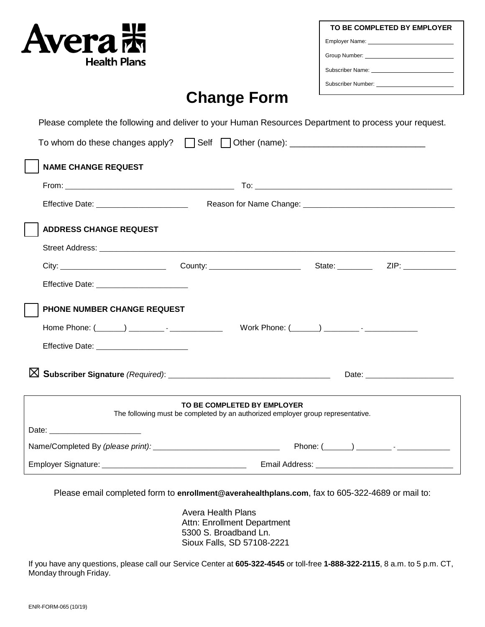| <b>Avera 沫</b><br><b>Health Plans</b> | EN VAL |
|---------------------------------------|--------|
|                                       |        |

| TO BE COMPLETED BY EMPLOYER                         |  |  |
|-----------------------------------------------------|--|--|
|                                                     |  |  |
|                                                     |  |  |
|                                                     |  |  |
| Subscriber Number: North and the Subscriber Number: |  |  |

## **Change Form**

Please complete the following and deliver to your Human Resources Department to process your request.

| To whom do these changes apply?   Self   Other (name): _________________________ |                                                                                                                |  |                    |
|----------------------------------------------------------------------------------|----------------------------------------------------------------------------------------------------------------|--|--------------------|
| <b>NAME CHANGE REQUEST</b>                                                       |                                                                                                                |  |                    |
|                                                                                  |                                                                                                                |  |                    |
| Effective Date: _________________________                                        |                                                                                                                |  |                    |
| <b>ADDRESS CHANGE REQUEST</b>                                                    |                                                                                                                |  |                    |
|                                                                                  |                                                                                                                |  |                    |
|                                                                                  |                                                                                                                |  |                    |
| Effective Date: ________________________                                         |                                                                                                                |  |                    |
| PHONE NUMBER CHANGE REQUEST                                                      |                                                                                                                |  |                    |
| Home Phone: (______) __________- - ______________                                |                                                                                                                |  |                    |
| Effective Date: ________________________                                         |                                                                                                                |  |                    |
|                                                                                  |                                                                                                                |  | Date: <u>Date:</u> |
|                                                                                  | TO BE COMPLETED BY EMPLOYER<br>The following must be completed by an authorized employer group representative. |  |                    |
|                                                                                  |                                                                                                                |  |                    |
|                                                                                  |                                                                                                                |  |                    |
|                                                                                  |                                                                                                                |  |                    |

Please email completed form to **enrollment@averahealthplans.com**, fax to 605-322-4689 or mail to:

Avera Health Plans Attn: Enrollment Department 5300 S. Broadband Ln. Sioux Falls, SD 57108-2221

If you have any questions, please call our Service Center at **605-322-4545** or toll-free **1-888-322-2115**, 8 a.m. to 5 p.m. CT, Monday through Friday.